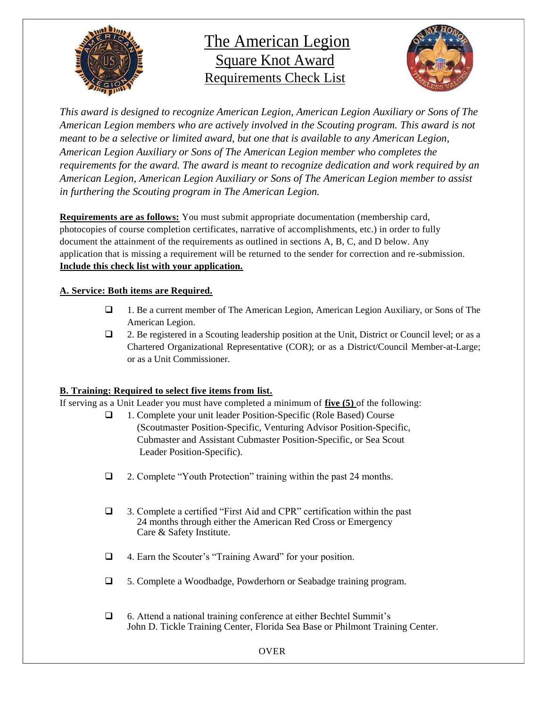

# The American Legion Square Knot Award Requirements Check List



*This award is designed to recognize American Legion, American Legion Auxiliary or Sons of The American Legion members who are actively involved in the Scouting program. This award is not meant to be a selective or limited award, but one that is available to any American Legion, American Legion Auxiliary or Sons of The American Legion member who completes the requirements for the award. The award is meant to recognize dedication and work required by an American Legion, American Legion Auxiliary or Sons of The American Legion member to assist in furthering the Scouting program in The American Legion.*

**Requirements are as follows:** You must submit appropriate documentation (membership card, photocopies of course completion certificates, narrative of accomplishments, etc.) in order to fully document the attainment of the requirements as outlined in sections A, B, C, and D below. Any application that is missing a requirement will be returned to the sender for correction and re-submission. **Include this check list with your application.** 

# **A. Service: Both items are Required.**

- ❑ 1. Be a current member of The American Legion, American Legion Auxiliary, or Sons of The American Legion.
- ❑ 2. Be registered in a Scouting leadership position at the Unit, District or Council level; or as a Chartered Organizational Representative (COR); or as a District/Council Member-at-Large; or as a Unit Commissioner.

# **B. Training: Required to select five items from list.**

If serving as a Unit Leader you must have completed a minimum of **five (5)** of the following:

- ❑ 1. Complete your unit leader Position-Specific (Role Based) Course (Scoutmaster Position-Specific, Venturing Advisor Position-Specific, Cubmaster and Assistant Cubmaster Position-Specific, or Sea Scout Leader Position-Specific).
- ❑ 2. Complete "Youth Protection" training within the past 24 months.
- ❑ 3. Complete a certified "First Aid and CPR" certification within the past 24 months through either the American Red Cross or Emergency Care & Safety Institute.
- ❑ 4. Earn the Scouter's "Training Award" for your position.
- ❑ 5. Complete a Woodbadge, Powderhorn or Seabadge training program.
- ❑ 6. Attend a national training conference at either Bechtel Summit's John D. Tickle Training Center, Florida Sea Base or Philmont Training Center.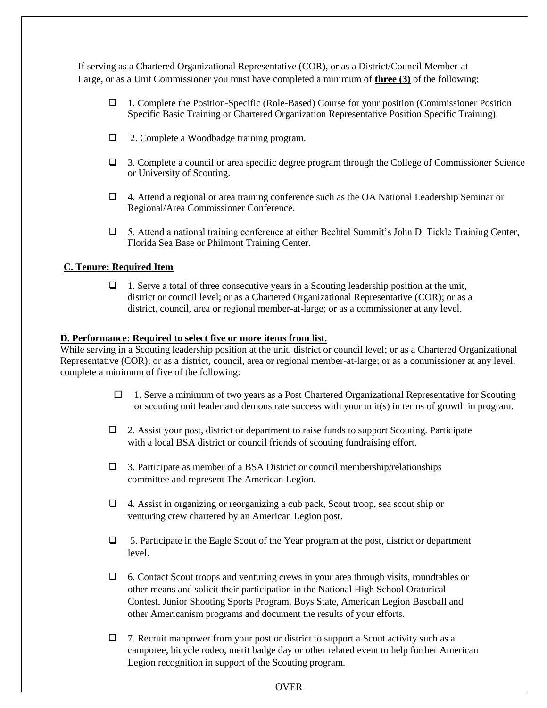If serving as a Chartered Organizational Representative (COR), or as a District/Council Member-at- Large, or as a Unit Commissioner you must have completed a minimum of **three (3)** of the following:

- ❑ 1. Complete the Position-Specific (Role-Based) Course for your position (Commissioner Position Specific Basic Training or Chartered Organization Representative Position Specific Training).
- ❑ 2. Complete a Woodbadge training program.
- ❑ 3. Complete a council or area specific degree program through the College of Commissioner Science or University of Scouting.
- ❑ 4. Attend a regional or area training conference such as the OA National Leadership Seminar or Regional/Area Commissioner Conference.
- ❑ 5. Attend a national training conference at either Bechtel Summit's John D. Tickle Training Center, Florida Sea Base or Philmont Training Center.

## **C. Tenure: Required Item**

 $\Box$  1. Serve a total of three consecutive years in a Scouting leadership position at the unit, district or council level; or as a Chartered Organizational Representative (COR); or as a district, council, area or regional member-at-large; or as a commissioner at any level.

## **D. Performance: Required to select five or more items from list.**

While serving in a Scouting leadership position at the unit, district or council level; or as a Chartered Organizational Representative (COR); or as a district, council, area or regional member-at-large; or as a commissioner at any level, complete a minimum of five of the following:

- $\Box$  1. Serve a minimum of two years as a Post Chartered Organizational Representative for Scouting or scouting unit leader and demonstrate success with your unit(s) in terms of growth in program.
- ❑ 2. Assist your post, district or department to raise funds to support Scouting. Participate with a local BSA district or council friends of scouting fundraising effort.
- ❑ 3. Participate as member of a BSA District or council membership/relationships committee and represent The American Legion.
- ❑ 4. Assist in organizing or reorganizing a cub pack, Scout troop, sea scout ship or venturing crew chartered by an American Legion post.
- ❑ 5. Participate in the Eagle Scout of the Year program at the post, district or department level.
- ❑ 6. Contact Scout troops and venturing crews in your area through visits, roundtables or other means and solicit their participation in the National High School Oratorical Contest, Junior Shooting Sports Program, Boys State, American Legion Baseball and other Americanism programs and document the results of your efforts.
- ❑ 7. Recruit manpower from your post or district to support a Scout activity such as a camporee, bicycle rodeo, merit badge day or other related event to help further American Legion recognition in support of the Scouting program.